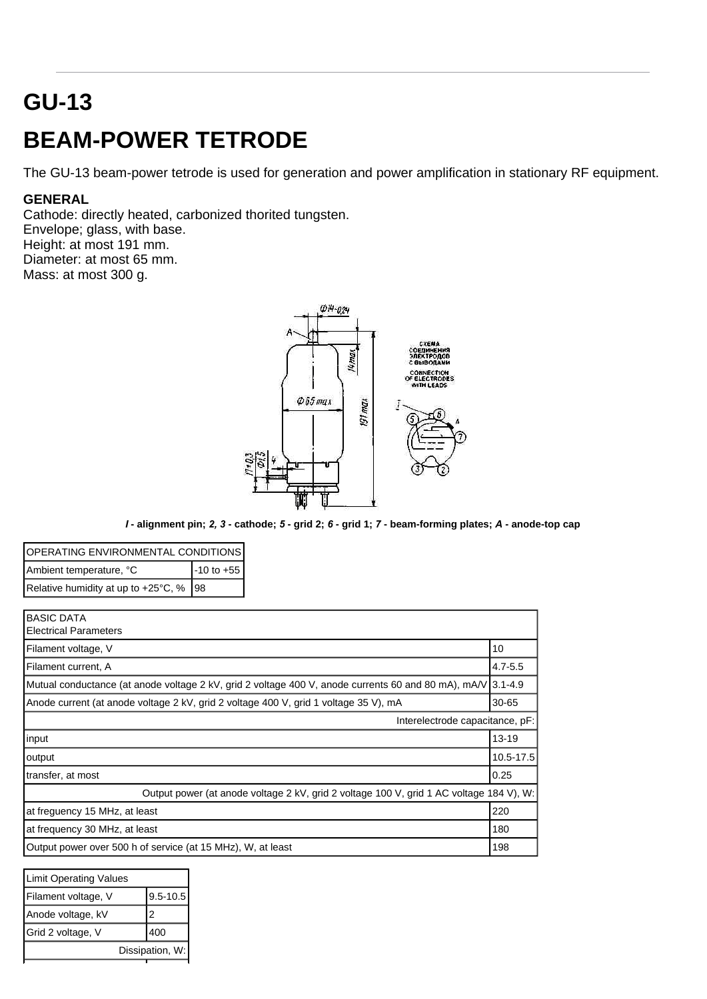## **GU-13**

## **BEAM-POWER TETRODE**

The GU-13 beam-power tetrode is used for generation and power amplification in stationary RF equipment.

## **GENERAL**

Cathode: directly heated, carbonized thorited tungsten. Envelope; glass, with base. Height: at most 191 mm. Diameter: at most 65 mm. Mass: at most 300 g.



*I* **- alignment pin;** *2, 3* **- cathode;** *5* **- grid 2;** *6* **- grid 1;** *7* **- beam-forming plates;** *A* **- anode-top cap**

| OPERATING ENVIRONMENTAL CONDITIONS               |                |  |
|--------------------------------------------------|----------------|--|
| Ambient temperature, °C                          | $-10$ to $+55$ |  |
| Relative humidity at up to $+25^{\circ}$ C, % 98 |                |  |

| <b>BASIC DATA</b><br><b>Electrical Parameters</b>                                                           |           |  |
|-------------------------------------------------------------------------------------------------------------|-----------|--|
| Filament voltage, V                                                                                         | 10        |  |
| Filament current, A                                                                                         | 4.7-5.5   |  |
| Mutual conductance (at anode voltage 2 kV, grid 2 voltage 400 V, anode currents 60 and 80 mA), mA/V 3.1-4.9 |           |  |
| Anode current (at anode voltage 2 kV, grid 2 voltage 400 V, grid 1 voltage 35 V), mA                        | 30-65     |  |
| Interelectrode capacitance, pF:                                                                             |           |  |
| input                                                                                                       | $13 - 19$ |  |
| output                                                                                                      | 10.5-17.5 |  |
| transfer, at most                                                                                           | 0.25      |  |
| Output power (at anode voltage 2 kV, grid 2 voltage 100 V, grid 1 AC voltage 184 V), W:                     |           |  |
| at freguency 15 MHz, at least                                                                               | 220       |  |
| at frequency 30 MHz, at least                                                                               | 180       |  |
| Output power over 500 h of service (at 15 MHz), W, at least                                                 | 198       |  |

| <b>Limit Operating Values</b> |              |
|-------------------------------|--------------|
| Filament voltage, V           | $9.5 - 10.5$ |
| Anode voltage, kV             | 2            |
| Grid 2 voltage, V             | 400          |
| Dissipation, W:               |              |
|                               |              |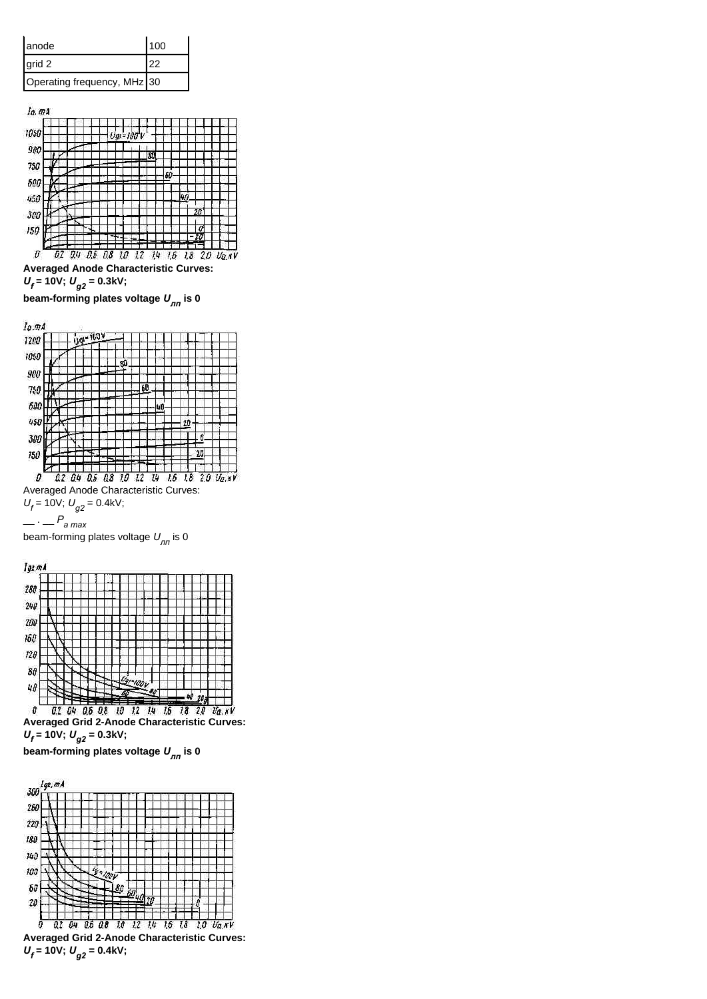**Averaged Anode Characteristic Curves:** 

*Uf*  **= 10V;** *Ug2* **= 0.3kV;**

**beam-forming plates voltage** *U лп*  **is 0**



 $U_f$  = 10V;  $U_{g2}$  = 0.4kV;

$$
\_\_P_{\mathsf{a}\max}
$$

beam-forming plates voltage *U лп* is 0



**beam-forming plates voltage** *U лп*  **is 0**



*Uf*  **= 10V;** *Ug2* **= 0.4kV;**

| lanode                      | l 100 |
|-----------------------------|-------|
| I grid 2                    | 22    |
| Operating frequency, MHz 30 |       |

ia.mA